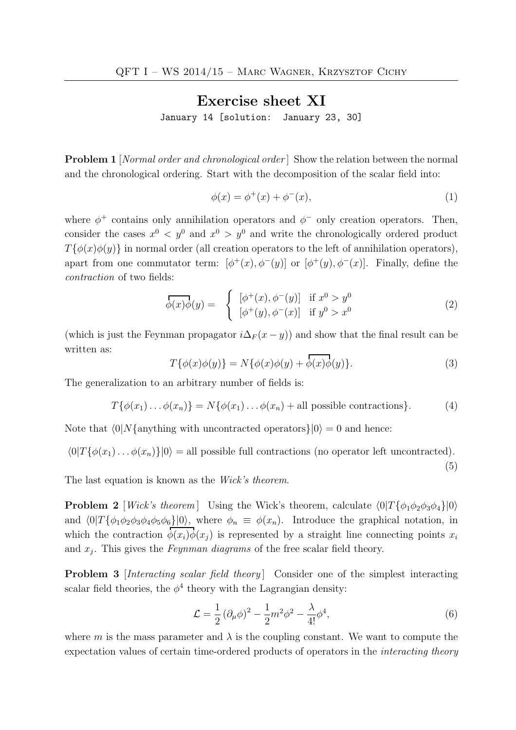## Exercise sheet XI

January 14 [solution: January 23, 30]

**Problem 1** [*Normal order and chronological order*] Show the relation between the normal and the chronological ordering. Start with the decomposition of the scalar field into:

$$
\phi(x) = \phi^+(x) + \phi^-(x),
$$
\n(1)

where  $\phi^+$  contains only annihilation operators and  $\phi^-$  only creation operators. Then, consider the cases  $x^0 \leq y^0$  and  $x^0 > y^0$  and write the chronologically ordered product  $T{\phi(x)\phi(y)}$  in normal order (all creation operators to the left of annihilation operators), apart from one commutator term:  $[\phi^+(x), \phi^-(y)]$  or  $[\phi^+(y), \phi^-(x)]$ . Finally, define the contraction of two fields:

$$
\overrightarrow{\phi(x)}\phi(y) = \begin{cases} [\phi^+(x), \phi^-(y)] & \text{if } x^0 > y^0 \\ [\phi^+(y), \phi^-(x)] & \text{if } y^0 > x^0 \end{cases}
$$
\n(2)

(which is just the Feynman propagator  $i\Delta_F (x - y)$ ) and show that the final result can be written as:

$$
T\{\phi(x)\phi(y)\} = N\{\phi(x)\phi(y) + \overline{\phi(x)\phi(y)}\}.
$$
\n(3)

The generalization to an arbitrary number of fields is:

$$
T\{\phi(x_1)\dots\phi(x_n)\} = N\{\phi(x_1)\dots\phi(x_n) + \text{all possible contractions}\}.
$$
 (4)

Note that  $\langle 0|N\{\text{anything with uncontracted operators}\}|0\rangle = 0$  and hence:

$$
\langle 0|T\{\phi(x_1)\dots\phi(x_n)\}|0\rangle = \text{all possible full contractions (no operator left uncontracted)}.
$$

The last equation is known as the Wick's theorem.

**Problem 2** [Wick's theorem] Using the Wick's theorem, calculate  $\langle 0|T\{\phi_1\phi_2\phi_3\phi_4\}|0\rangle$ and  $\langle 0|T\{\phi_1\phi_2\phi_3\phi_4\phi_5\phi_6\}|0\rangle$ , where  $\phi_n \equiv \phi(x_n)$ . Introduce the graphical notation, in which the contraction  $\phi(x_i)\phi(x_j)$  is represented by a straight line connecting points  $x_i$ and  $x_j$ . This gives the *Feynman diagrams* of the free scalar field theory.

**Problem 3** *[Interacting scalar field theory]* Consider one of the simplest interacting scalar field theories, the  $\phi^4$  theory with the Lagrangian density:

$$
\mathcal{L} = \frac{1}{2} \left( \partial_{\mu} \phi \right)^2 - \frac{1}{2} m^2 \phi^2 - \frac{\lambda}{4!} \phi^4,\tag{6}
$$

(5)

where m is the mass parameter and  $\lambda$  is the coupling constant. We want to compute the expectation values of certain time-ordered products of operators in the interacting theory